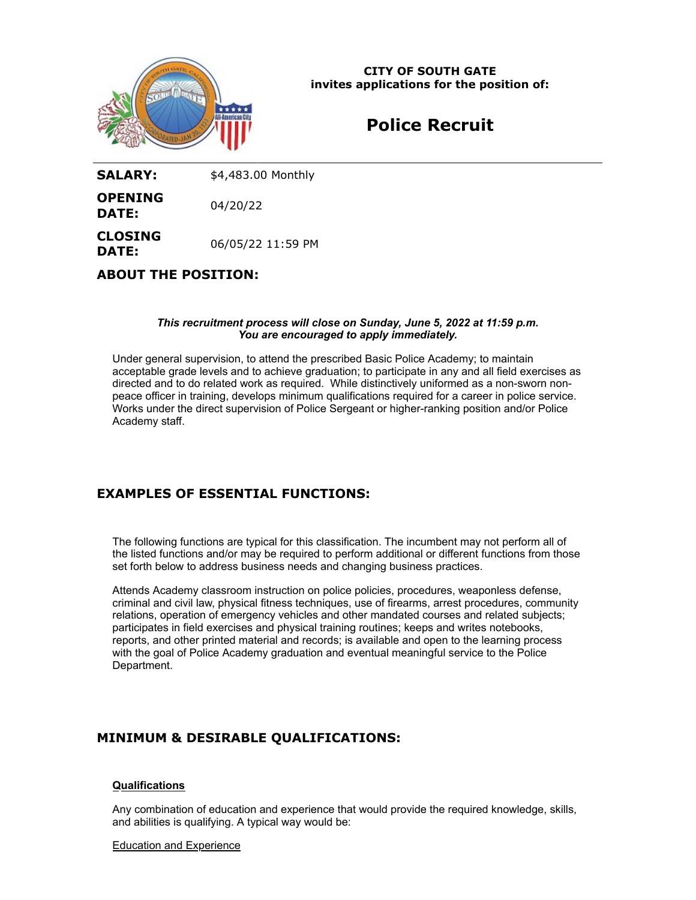

**CITY OF SOUTH GATE invites applications for the position of:**

# **Police Recruit**

**SALARY:** \$4,483.00 Monthly

**OPENING DATE:** 04/20/22

**CLOSING DATE:** 06/05/22 11:59 PM

# **ABOUT THE POSITION:**

## *This recruitment process will close on Sunday, June 5, 2022 at 11:59 p.m. You are encouraged to apply immediately.*

Under general supervision, to attend the prescribed Basic Police Academy; to maintain acceptable grade levels and to achieve graduation; to participate in any and all field exercises as directed and to do related work as required. While distinctively uniformed as a non-sworn nonpeace officer in training, develops minimum qualifications required for a career in police service. Works under the direct supervision of Police Sergeant or higher-ranking position and/or Police Academy staff.

# **EXAMPLES OF ESSENTIAL FUNCTIONS:**

The following functions are typical for this classification. The incumbent may not perform all of the listed functions and/or may be required to perform additional or different functions from those set forth below to address business needs and changing business practices.

Attends Academy classroom instruction on police policies, procedures, weaponless defense, criminal and civil law, physical fitness techniques, use of firearms, arrest procedures, community relations, operation of emergency vehicles and other mandated courses and related subjects; participates in field exercises and physical training routines; keeps and writes notebooks, reports, and other printed material and records; is available and open to the learning process with the goal of Police Academy graduation and eventual meaningful service to the Police Department.

# **MINIMUM & DESIRABLE QUALIFICATIONS:**

# **Qualifications**

Any combination of education and experience that would provide the required knowledge, skills, and abilities is qualifying. A typical way would be:

#### Education and Experience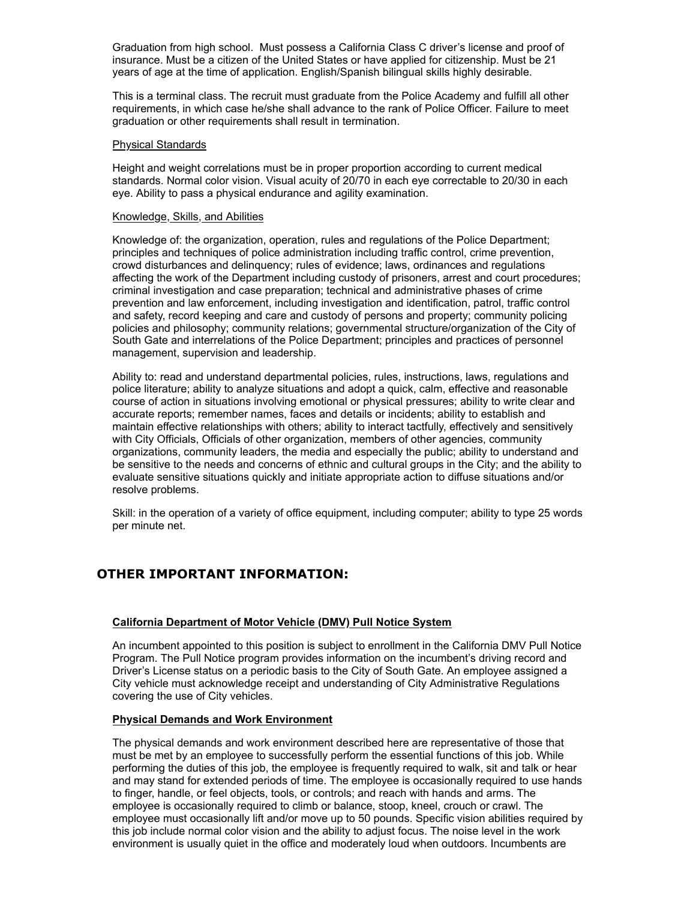Graduation from high school. Must possess a California Class C driver's license and proof of insurance. Must be a citizen of the United States or have applied for citizenship. Must be 21 years of age at the time of application. English/Spanish bilingual skills highly desirable.

This is a terminal class. The recruit must graduate from the Police Academy and fulfill all other requirements, in which case he/she shall advance to the rank of Police Officer. Failure to meet graduation or other requirements shall result in termination.

#### Physical Standards

Height and weight correlations must be in proper proportion according to current medical standards. Normal color vision. Visual acuity of 20/70 in each eye correctable to 20/30 in each eye. Ability to pass a physical endurance and agility examination.

#### Knowledge, Skills, and Abilities

Knowledge of: the organization, operation, rules and regulations of the Police Department; principles and techniques of police administration including traffic control, crime prevention, crowd disturbances and delinquency; rules of evidence; laws, ordinances and regulations affecting the work of the Department including custody of prisoners, arrest and court procedures; criminal investigation and case preparation; technical and administrative phases of crime prevention and law enforcement, including investigation and identification, patrol, traffic control and safety, record keeping and care and custody of persons and property; community policing policies and philosophy; community relations; governmental structure/organization of the City of South Gate and interrelations of the Police Department; principles and practices of personnel management, supervision and leadership.

Ability to: read and understand departmental policies, rules, instructions, laws, regulations and police literature; ability to analyze situations and adopt a quick, calm, effective and reasonable course of action in situations involving emotional or physical pressures; ability to write clear and accurate reports; remember names, faces and details or incidents; ability to establish and maintain effective relationships with others; ability to interact tactfully, effectively and sensitively with City Officials, Officials of other organization, members of other agencies, community organizations, community leaders, the media and especially the public; ability to understand and be sensitive to the needs and concerns of ethnic and cultural groups in the City; and the ability to evaluate sensitive situations quickly and initiate appropriate action to diffuse situations and/or resolve problems.

Skill: in the operation of a variety of office equipment, including computer; ability to type 25 words per minute net.

# **OTHER IMPORTANT INFORMATION:**

## **California Department of Motor Vehicle (DMV) Pull Notice System**

An incumbent appointed to this position is subject to enrollment in the California DMV Pull Notice Program. The Pull Notice program provides information on the incumbent's driving record and Driver's License status on a periodic basis to the City of South Gate. An employee assigned a City vehicle must acknowledge receipt and understanding of City Administrative Regulations covering the use of City vehicles.

## **Physical Demands and Work Environment**

The physical demands and work environment described here are representative of those that must be met by an employee to successfully perform the essential functions of this job. While performing the duties of this job, the employee is frequently required to walk, sit and talk or hear and may stand for extended periods of time. The employee is occasionally required to use hands to finger, handle, or feel objects, tools, or controls; and reach with hands and arms. The employee is occasionally required to climb or balance, stoop, kneel, crouch or crawl. The employee must occasionally lift and/or move up to 50 pounds. Specific vision abilities required by this job include normal color vision and the ability to adjust focus. The noise level in the work environment is usually quiet in the office and moderately loud when outdoors. Incumbents are